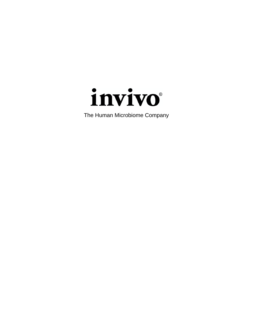

The Human Microbiome Company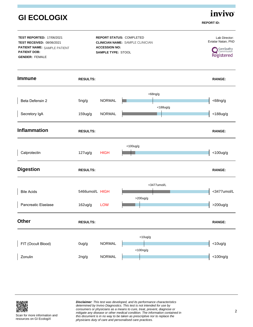| <b>GI ECOLOGIX</b>                                                                                                                                          |                 |                                                                                                                                 |                                                                                | invivo<br><b>REPORT ID:</b> |
|-------------------------------------------------------------------------------------------------------------------------------------------------------------|-----------------|---------------------------------------------------------------------------------------------------------------------------------|--------------------------------------------------------------------------------|-----------------------------|
| <b>TEST REPORTED: 17/06/2021</b><br><b>TEST RECEIVED: 08/06/2021</b><br><b>PATIENT NAME: SAMPLE PATIENT</b><br><b>PATIENT DOB:</b><br><b>GENDER: FEMALE</b> |                 | <b>REPORT STATUS: COMPLETED</b><br><b>CLINICIAN NAME: SAMPLE CLINICIAN</b><br><b>ACCESSION NO:</b><br><b>SAMPLE TYPE: STOOL</b> | Lab Director:<br>Eviatar Natan, PhD<br>CareQuality<br>Commission<br>Registered |                             |
| <b>Immune</b>                                                                                                                                               | <b>RESULTS:</b> |                                                                                                                                 |                                                                                | <b>RANGE:</b>               |
| Beta Defensin 2                                                                                                                                             | 5ng/g           | <b>NORMAL</b>                                                                                                                   | $<$ 68ng/g<br>$<$ 188 $ug/g$                                                   | $<$ 68ng/g                  |
| Secretory IgA                                                                                                                                               | $159$ ug/g      | <b>NORMAL</b>                                                                                                                   |                                                                                | $<$ 188 $ug/g$              |
| <b>Inflammation</b>                                                                                                                                         | <b>RESULTS:</b> |                                                                                                                                 |                                                                                | <b>RANGE:</b>               |
| Calprotectin                                                                                                                                                | $127$ ug/g      | <b>HIGH</b>                                                                                                                     | $<$ 100ug/g                                                                    | $<$ 100ug/g                 |
| <b>Digestion</b>                                                                                                                                            | <b>RESULTS:</b> |                                                                                                                                 |                                                                                | <b>RANGE:</b>               |
| <b>Bile Acids</b>                                                                                                                                           | 5466umol/L HIGH |                                                                                                                                 | <3477umol/L<br>$>200$ ug/g                                                     | <3477umol/L                 |
| Pancreatic Elastase                                                                                                                                         | $162$ ug/g      | LOW                                                                                                                             |                                                                                | $>200$ ug/g                 |
| <b>Other</b>                                                                                                                                                | <b>RESULTS:</b> |                                                                                                                                 |                                                                                | <b>RANGE:</b>               |
| FIT (Occult Blood)                                                                                                                                          | Oug/g           | <b>NORMAL</b>                                                                                                                   | $<$ 10ug/g<br>$<$ 100ng/g                                                      | $<$ 10ug/g                  |
| Zonulin                                                                                                                                                     | 2ng/g           | <b>NORMAL</b>                                                                                                                   |                                                                                | $<$ 100ng/g                 |

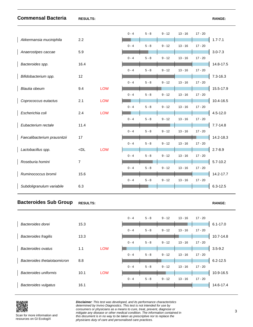## **Commensal Bacteria RESULTS: RANGE: RANGE: RANGE:**

|                              |                |            | $0 - 4$ | $5 - 8$ | $9 - 12$ | $13 - 16$ | $17 - 20$ |              |
|------------------------------|----------------|------------|---------|---------|----------|-----------|-----------|--------------|
| Akkermansia muciniphila      | 2.2            |            | $0 - 4$ | $5 - 8$ | $9 - 12$ | $13 - 16$ | $17 - 20$ | $1.7 - 7.1$  |
| Anaerostipes caccae          | 5.9            |            |         |         |          |           |           | $3.0 - 7.3$  |
|                              |                |            | $0 - 4$ | $5 - 8$ | $9 - 12$ | $13 - 16$ | $17 - 20$ |              |
| Bacteroides spp.             | 16.4           |            | $0 - 4$ | $5 - 8$ | $9 - 12$ | $13 - 16$ | $17 - 20$ | 14.8-17.5    |
| Bifidobacterium spp.         | 12             |            |         |         |          |           |           | 7.3-16.3     |
|                              |                |            | $0 - 4$ | $5 - 8$ | $9 - 12$ | $13 - 16$ | $17 - 20$ |              |
| Blautia obeum                | 9.4            | <b>LOW</b> | $0 - 4$ | $5 - 8$ | $9 - 12$ | $13 - 16$ | $17 - 20$ | 15.5-17.9    |
| Coprococcus eutactus         | 2.1            | <b>LOW</b> |         |         |          |           |           | 10.4-16.5    |
|                              |                |            | $0 - 4$ | $5 - 8$ | $9 - 12$ | $13 - 16$ | $17 - 20$ |              |
| Escherichia coli             | 2.4            | <b>LOW</b> | $0 - 4$ | $5 - 8$ | $9 - 12$ | $13 - 16$ | $17 - 20$ | $4.5 - 12.0$ |
| Eubacterium rectale          | 11.4           |            |         |         |          |           |           | $7.7 - 14.8$ |
| Faecalibacterium prausnitzii | 17             |            | $0 - 4$ | $5 - 8$ | $9 - 12$ | $13 - 16$ | $17 - 20$ | 14.2-18.3    |
|                              |                |            | $0 - 4$ | $5 - 8$ | $9 - 12$ | $13 - 16$ | $17 - 20$ |              |
| Lactobacillus spp.           | $<$ DL         | <b>LOW</b> |         |         |          |           |           | $2.7 - 8.9$  |
| Roseburia homini             | $\overline{7}$ |            | $0 - 4$ | $5 - 8$ | $9 - 12$ | $13 - 16$ | $17 - 20$ | $5.7 - 10.2$ |
|                              |                |            | $0 - 4$ | $5 - 8$ | $9 - 12$ | $13 - 16$ | $17 - 20$ |              |
| Ruminococcus bromii          | 15.6           |            |         |         |          |           |           | 14.2-17.7    |
| Subdoligranulum variabile    | 6.3            |            | $0 - 4$ | $5 - 8$ | $9 - 12$ | $13 - 16$ | $17 - 20$ | $6.3 - 12.5$ |
|                              |                |            |         |         |          |           |           |              |

## **Bacteroides Sub Group RESULTS: RANGE: RANGE: RANGE: RANGE:**

|                              |      |            | $0 - 4$ | $5 - 8$ | $9 - 12$ | $13 - 16$ | $17 - 20$ |               |
|------------------------------|------|------------|---------|---------|----------|-----------|-----------|---------------|
| Bacteroides dorei            | 15.3 |            | $0 - 4$ | $5 - 8$ | $9 - 12$ | $13 - 16$ | $17 - 20$ | $6.1 - 17.0$  |
| <b>Bacteroides fragilis</b>  | 13.3 |            |         |         |          |           |           | $10.7 - 14.8$ |
|                              |      |            | $0 - 4$ | $5 - 8$ | $9 - 12$ | $13 - 16$ | $17 - 20$ |               |
| Bacteroides ovatus           | 1.1  | <b>LOW</b> |         |         |          |           |           | $3.5 - 9.2$   |
|                              |      |            | $0 - 4$ | $5 - 8$ | $9 - 12$ | $13 - 16$ | $17 - 20$ |               |
| Bacteroides thetaiotaomicron | 8.8  |            |         |         |          |           |           | $6.2 - 12.5$  |
|                              |      |            | $0 - 4$ | $5 - 8$ | $9 - 12$ | $13 - 16$ | $17 - 20$ |               |
| Bacteroides uniformis        | 10.1 | <b>LOW</b> |         |         |          |           |           | 10.9-16.5     |
|                              |      |            | $0 - 4$ | $5 - 8$ | $9 - 12$ | $13 - 16$ | $17 - 20$ |               |
| <b>Bacteroides vulgatus</b>  | 16.1 |            |         |         |          |           |           | 14.6-17.4     |



Scan for more information and resources on GI EcologiX

**Disclaimer**: This test was developed, and its performance characteristics determined by Invivo Diagnostics. This test is not intended for use by consumers or physicians as a means to cure, treat, prevent, diagnose or mitigate any disease or other medical condition. The information contained in this document is in no way to be taken as prescriptive nor to replace the physicians duty of care and personalised care practices.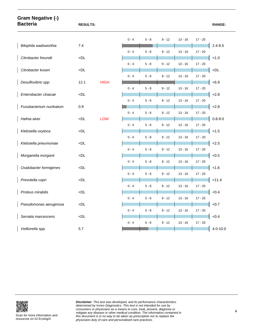| <b>Gram Negative (-)</b><br><b>Bacteria</b> | <b>RESULTS:</b> |             |         |         |          |           |           | <b>RANGE:</b> |
|---------------------------------------------|-----------------|-------------|---------|---------|----------|-----------|-----------|---------------|
|                                             |                 |             | $0 - 4$ | $5 - 8$ | $9 - 12$ | $13 - 16$ | $17 - 20$ |               |
| Bilophila wadsworthia                       | 7.4             |             | $0 - 4$ | $5 - 8$ | $9 - 12$ | $13 - 16$ | $17 - 20$ | $2.4 - 9.5$   |
| Citrobacter freundii                        | $\n  $          |             |         |         |          |           |           | < 1.0         |
| Citrobacter koseri                          | $\n  $          |             | $0 - 4$ | $5 - 8$ | $9 - 12$ | $13 - 16$ | $17 - 20$ | $<$ DL        |
|                                             |                 |             | $0 - 4$ | $5 - 8$ | $9 - 12$ | $13 - 16$ | $17 - 20$ |               |
| Desulfovibrio spp.                          | 12.1            | <b>HIGH</b> | $0 - 4$ | $5 - 8$ | $9 - 12$ | $13 - 16$ | $17 - 20$ | < 6.9         |
| Enterobacter cloacae                        | $\n  $          |             | $0 - 4$ | $5 - 8$ | $9 - 12$ | $13 - 16$ | $17 - 20$ | 2.8           |
| Fusobacterium nucleatum                     | 0.9             |             |         |         |          |           |           | 2.8           |
| Hafnia alvei                                | $\n  $          | <b>LOW</b>  | $0 - 4$ | $5 - 8$ | $9 - 12$ | $13 - 16$ | $17 - 20$ | $0.8 - 9.0$   |
|                                             |                 |             | $0 - 4$ | $5 - 8$ | $9 - 12$ | $13 - 16$ | $17 - 20$ |               |
| Klebsiella oxytoca                          | $\n  $          |             | $0 - 4$ | $5 - 8$ | $9 - 12$ | $13 - 16$ | $17 - 20$ | < 1.5         |
| Klebsiella pneumoniae                       | $\n  $          |             |         |         |          |           |           | 2.5           |
| Morganella morganii                         | $\n  $          |             | $0 - 4$ | $5 - 8$ | $9 - 12$ | $13 - 16$ | $17 - 20$ | < 0.5         |
|                                             |                 |             | $0 - 4$ | $5 - 8$ | $9 - 12$ | $13 - 16$ | $17 - 20$ |               |
| Oxalobacter formigenes                      | $\n  $          |             | $0 - 4$ | $5 - 8$ | $9 - 12$ | $13 - 16$ | $17 - 20$ | < 1.6         |
| Prevotella copri                            | $\n  $          |             |         |         |          |           |           | < 11.4        |
| Proteus mirabilis                           | $\n  $          |             | $0 - 4$ | $5 - 8$ | $9 - 12$ | $13 - 16$ | $17 - 20$ | < 0.4         |
|                                             |                 |             | $0 - 4$ | 5 - 8   | 9 - 12   | 13 - 16   | 17 - 20   |               |
| Pseudomonas aeruginosa                      | $<$ DL          |             | $0 - 4$ | $5 - 8$ | $9 - 12$ | $13 - 16$ | $17 - 20$ | < 0.7         |
| Serratia marcescens                         | $\n  L$         |             |         |         |          |           |           | ${<}0.4$      |
| Veillonella spp.                            | 5.7             |             | $0 - 4$ | $5 - 8$ | $9 - 12$ | $13 - 16$ | $17 - 20$ | $4.0 - 10.0$  |



**Disclaimer**: This test was developed, and its performance characteristics determined by Invivo Diagnostics. This test is not intended for use by consumers or physicians as a means to cure, treat, prevent, diagnose or mitigate any disease or other medical condition. The information contained in this document is in no way to be taken as prescriptive nor to replace the physicians duty of care and personalised care practices.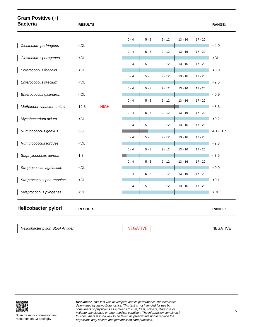| Gram Positive (+)<br><b>Bacteria</b> | <b>RESULTS:</b>                                                                         |             |         |         |          |           |           | <b>RANGE:</b> |
|--------------------------------------|-----------------------------------------------------------------------------------------|-------------|---------|---------|----------|-----------|-----------|---------------|
|                                      |                                                                                         |             | $0 - 4$ | $5 - 8$ | $9 - 12$ | $13 - 16$ | $17 - 20$ |               |
| Clostridium perfringens              | $<$ DL                                                                                  |             | $0 - 4$ | $5 - 8$ | $9 - 12$ | $13 - 16$ | $17 - 20$ | <4.0          |
| Clostridium sporogenes               | $<$ DL                                                                                  |             |         |         |          |           |           | $<$ DL        |
| Enterococcus faecalis                | $<$ DL                                                                                  |             | $0 - 4$ | $5 - 8$ | $9 - 12$ | $13 - 16$ | $17 - 20$ | < 3.0         |
| Enterococcus faecium                 | $<$ DL                                                                                  |             | $0 - 4$ | $5 - 8$ | $9 - 12$ | $13 - 16$ | $17 - 20$ | 2.6           |
|                                      |                                                                                         |             | $0 - 4$ | $5 - 8$ | $9 - 12$ | $13 - 16$ | $17 - 20$ |               |
| Enterococcus gallinarum              | $<$ DL                                                                                  |             | $0 - 4$ | $5 - 8$ | $9 - 12$ | $13 - 16$ | $17 - 20$ | < 0.9         |
| Methanobrevibacter smithii           | 12.6                                                                                    | <b>HIGH</b> | $0 - 4$ | $5 - 8$ | $9 - 12$ | $13 - 16$ | $17 - 20$ | <8.3          |
| Mycobacterium avium                  | <dl< td=""><td></td><td></td><td></td><td></td><td></td><td></td><td>&lt;0.2</td></dl<> |             |         |         |          |           |           | <0.2          |
| Ruminococcus gnavus                  | 5.8                                                                                     |             | $0 - 4$ | $5 - 8$ | $9 - 12$ | $13 - 16$ | $17 - 20$ | $4.1 - 10.7$  |
| Ruminococcus torques                 | $<$ DL                                                                                  |             | $0 - 4$ | $5 - 8$ | $9 - 12$ | $13 - 16$ | $17 - 20$ | 2.3           |
|                                      |                                                                                         |             | $0 - 4$ | $5 - 8$ | $9 - 12$ | $13 - 16$ | $17 - 20$ |               |
| Staphylococcus aureus                | 1.3                                                                                     |             | $0 - 4$ | $5 - 8$ | $9 - 12$ | $13 - 16$ | $17 - 20$ | < 3.5         |
| Streptococcus agalactiae             | $\n  $                                                                                  |             | $0 - 4$ | $5 - 8$ | $9 - 12$ | $13 - 16$ | $17 - 20$ | < 0.9         |
| Streptococcus pneumoniae             | $\n  $                                                                                  |             |         |         |          |           |           | < 0.1         |
| Streptococcus pyogenes               | $\n  $                                                                                  |             | $0 - 4$ | $5 - 8$ | $9 - 12$ | $13 - 16$ | $17 - 20$ | $\n  <$ DL    |
| Helicobacter pylori                  | <b>RESULTS:</b>                                                                         |             |         |         |          |           |           | <b>RANGE:</b> |
|                                      |                                                                                         |             |         |         |          |           |           |               |

Helicobacter pylori Stool Antigen NEGATIVE NEGATIVE NEGATIVE